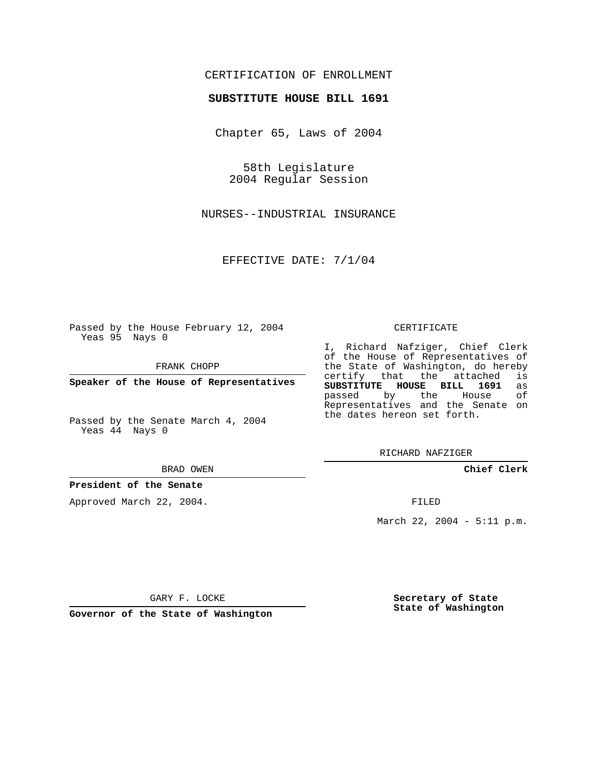## CERTIFICATION OF ENROLLMENT

#### **SUBSTITUTE HOUSE BILL 1691**

Chapter 65, Laws of 2004

58th Legislature 2004 Regular Session

NURSES--INDUSTRIAL INSURANCE

EFFECTIVE DATE: 7/1/04

Passed by the House February 12, 2004 Yeas 95 Nays 0

FRANK CHOPP

**Speaker of the House of Representatives**

Passed by the Senate March 4, 2004 Yeas 44 Nays 0

#### BRAD OWEN

### **President of the Senate**

Approved March 22, 2004.

#### CERTIFICATE

I, Richard Nafziger, Chief Clerk of the House of Representatives of the State of Washington, do hereby<br>certify that the attached is certify that the attached **SUBSTITUTE HOUSE BILL 1691** as passed by the House Representatives and the Senate on the dates hereon set forth.

RICHARD NAFZIGER

**Chief Clerk**

FILED

March 22, 2004 - 5:11 p.m.

GARY F. LOCKE

**Governor of the State of Washington**

**Secretary of State State of Washington**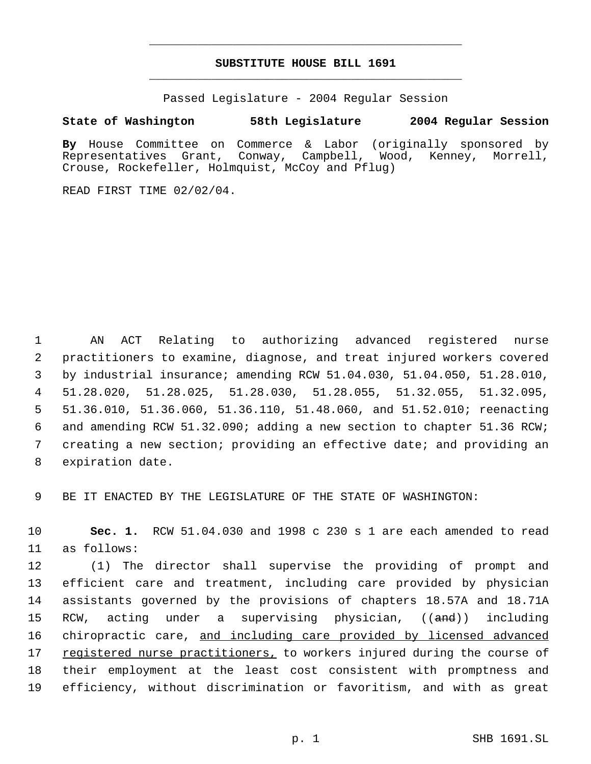# **SUBSTITUTE HOUSE BILL 1691** \_\_\_\_\_\_\_\_\_\_\_\_\_\_\_\_\_\_\_\_\_\_\_\_\_\_\_\_\_\_\_\_\_\_\_\_\_\_\_\_\_\_\_\_\_

\_\_\_\_\_\_\_\_\_\_\_\_\_\_\_\_\_\_\_\_\_\_\_\_\_\_\_\_\_\_\_\_\_\_\_\_\_\_\_\_\_\_\_\_\_

Passed Legislature - 2004 Regular Session

### **State of Washington 58th Legislature 2004 Regular Session**

**By** House Committee on Commerce & Labor (originally sponsored by Representatives Grant, Conway, Campbell, Wood, Kenney, Morrell, Crouse, Rockefeller, Holmquist, McCoy and Pflug)

READ FIRST TIME 02/02/04.

 AN ACT Relating to authorizing advanced registered nurse practitioners to examine, diagnose, and treat injured workers covered by industrial insurance; amending RCW 51.04.030, 51.04.050, 51.28.010, 51.28.020, 51.28.025, 51.28.030, 51.28.055, 51.32.055, 51.32.095, 51.36.010, 51.36.060, 51.36.110, 51.48.060, and 51.52.010; reenacting and amending RCW 51.32.090; adding a new section to chapter 51.36 RCW; creating a new section; providing an effective date; and providing an expiration date.

9 BE IT ENACTED BY THE LEGISLATURE OF THE STATE OF WASHINGTON:

10 **Sec. 1.** RCW 51.04.030 and 1998 c 230 s 1 are each amended to read 11 as follows:

 (1) The director shall supervise the providing of prompt and efficient care and treatment, including care provided by physician assistants governed by the provisions of chapters 18.57A and 18.71A 15 RCW, acting under a supervising physician, ((and)) including 16 chiropractic care, and including care provided by licensed advanced 17 registered nurse practitioners, to workers injured during the course of their employment at the least cost consistent with promptness and efficiency, without discrimination or favoritism, and with as great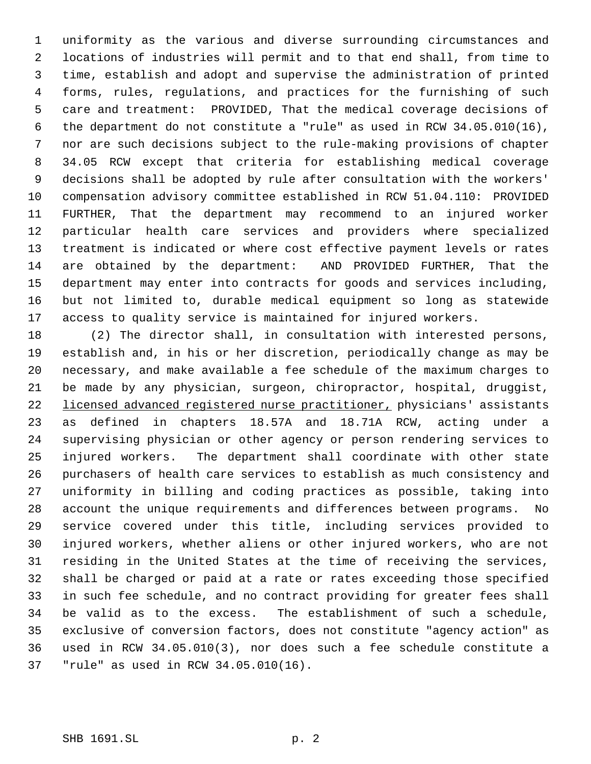uniformity as the various and diverse surrounding circumstances and locations of industries will permit and to that end shall, from time to time, establish and adopt and supervise the administration of printed forms, rules, regulations, and practices for the furnishing of such care and treatment: PROVIDED, That the medical coverage decisions of the department do not constitute a "rule" as used in RCW 34.05.010(16), nor are such decisions subject to the rule-making provisions of chapter 34.05 RCW except that criteria for establishing medical coverage decisions shall be adopted by rule after consultation with the workers' compensation advisory committee established in RCW 51.04.110: PROVIDED FURTHER, That the department may recommend to an injured worker particular health care services and providers where specialized treatment is indicated or where cost effective payment levels or rates are obtained by the department: AND PROVIDED FURTHER, That the department may enter into contracts for goods and services including, but not limited to, durable medical equipment so long as statewide access to quality service is maintained for injured workers.

 (2) The director shall, in consultation with interested persons, establish and, in his or her discretion, periodically change as may be necessary, and make available a fee schedule of the maximum charges to be made by any physician, surgeon, chiropractor, hospital, druggist, licensed advanced registered nurse practitioner, physicians' assistants as defined in chapters 18.57A and 18.71A RCW, acting under a supervising physician or other agency or person rendering services to injured workers. The department shall coordinate with other state purchasers of health care services to establish as much consistency and uniformity in billing and coding practices as possible, taking into account the unique requirements and differences between programs. No service covered under this title, including services provided to injured workers, whether aliens or other injured workers, who are not residing in the United States at the time of receiving the services, shall be charged or paid at a rate or rates exceeding those specified in such fee schedule, and no contract providing for greater fees shall be valid as to the excess. The establishment of such a schedule, exclusive of conversion factors, does not constitute "agency action" as used in RCW 34.05.010(3), nor does such a fee schedule constitute a "rule" as used in RCW 34.05.010(16).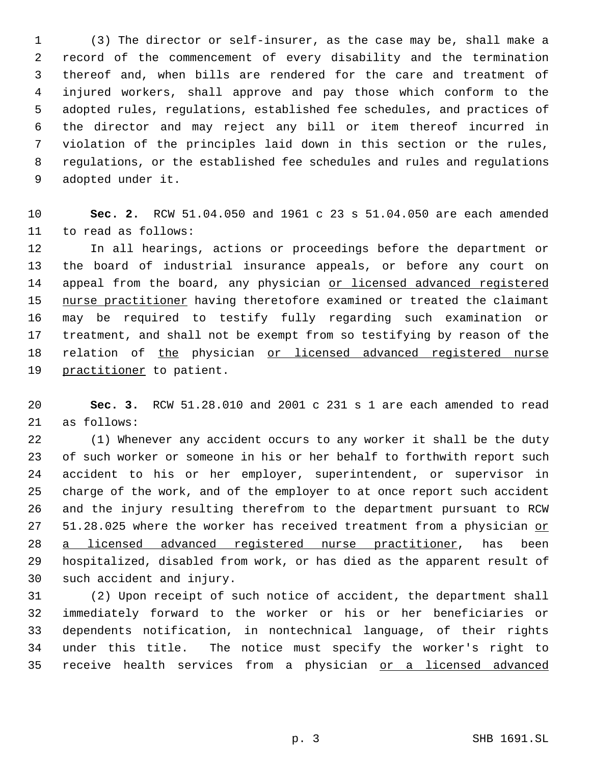(3) The director or self-insurer, as the case may be, shall make a record of the commencement of every disability and the termination thereof and, when bills are rendered for the care and treatment of injured workers, shall approve and pay those which conform to the adopted rules, regulations, established fee schedules, and practices of the director and may reject any bill or item thereof incurred in violation of the principles laid down in this section or the rules, regulations, or the established fee schedules and rules and regulations adopted under it.

 **Sec. 2.** RCW 51.04.050 and 1961 c 23 s 51.04.050 are each amended to read as follows:

 In all hearings, actions or proceedings before the department or the board of industrial insurance appeals, or before any court on 14 appeal from the board, any physician or licensed advanced registered 15 nurse practitioner having theretofore examined or treated the claimant may be required to testify fully regarding such examination or treatment, and shall not be exempt from so testifying by reason of the 18 relation of the physician or licensed advanced registered nurse 19 practitioner to patient.

 **Sec. 3.** RCW 51.28.010 and 2001 c 231 s 1 are each amended to read as follows:

 (1) Whenever any accident occurs to any worker it shall be the duty of such worker or someone in his or her behalf to forthwith report such accident to his or her employer, superintendent, or supervisor in charge of the work, and of the employer to at once report such accident and the injury resulting therefrom to the department pursuant to RCW 51.28.025 where the worker has received treatment from a physician or 28 a licensed advanced registered nurse practitioner, has been hospitalized, disabled from work, or has died as the apparent result of such accident and injury.

 (2) Upon receipt of such notice of accident, the department shall immediately forward to the worker or his or her beneficiaries or dependents notification, in nontechnical language, of their rights under this title. The notice must specify the worker's right to 35 receive health services from a physician or a licensed advanced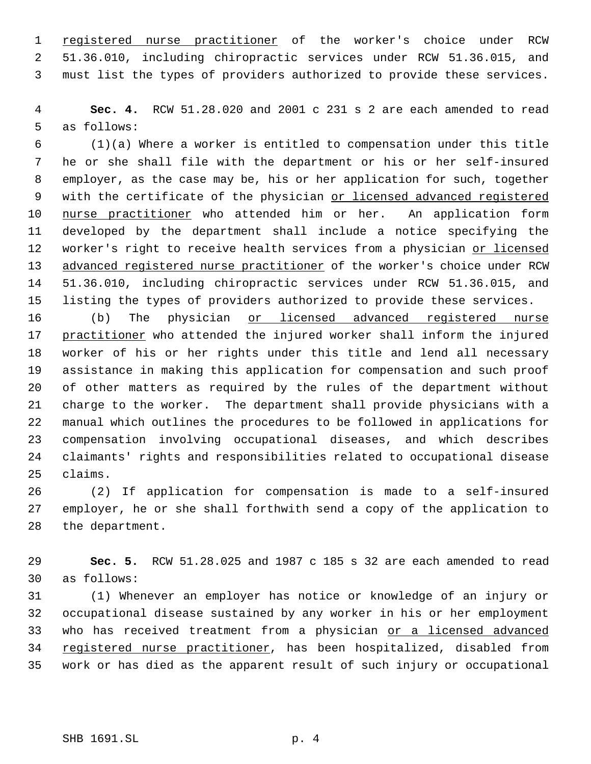1 registered nurse practitioner of the worker's choice under RCW 51.36.010, including chiropractic services under RCW 51.36.015, and must list the types of providers authorized to provide these services.

 **Sec. 4.** RCW 51.28.020 and 2001 c 231 s 2 are each amended to read as follows:

 (1)(a) Where a worker is entitled to compensation under this title he or she shall file with the department or his or her self-insured employer, as the case may be, his or her application for such, together with the certificate of the physician or licensed advanced registered 10 nurse practitioner who attended him or her. An application form developed by the department shall include a notice specifying the 12 worker's right to receive health services from a physician or licensed advanced registered nurse practitioner of the worker's choice under RCW 51.36.010, including chiropractic services under RCW 51.36.015, and listing the types of providers authorized to provide these services.

16 (b) The physician or licensed advanced registered nurse 17 practitioner who attended the injured worker shall inform the injured worker of his or her rights under this title and lend all necessary assistance in making this application for compensation and such proof of other matters as required by the rules of the department without charge to the worker. The department shall provide physicians with a manual which outlines the procedures to be followed in applications for compensation involving occupational diseases, and which describes claimants' rights and responsibilities related to occupational disease claims.

 (2) If application for compensation is made to a self-insured employer, he or she shall forthwith send a copy of the application to the department.

 **Sec. 5.** RCW 51.28.025 and 1987 c 185 s 32 are each amended to read as follows:

 (1) Whenever an employer has notice or knowledge of an injury or occupational disease sustained by any worker in his or her employment 33 who has received treatment from a physician or a licensed advanced registered nurse practitioner, has been hospitalized, disabled from work or has died as the apparent result of such injury or occupational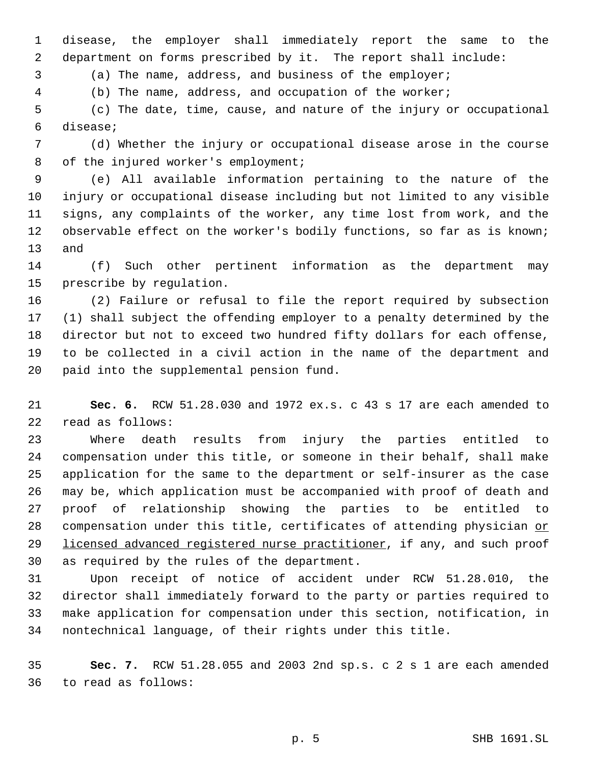disease, the employer shall immediately report the same to the department on forms prescribed by it. The report shall include:

(a) The name, address, and business of the employer;

(b) The name, address, and occupation of the worker;

 (c) The date, time, cause, and nature of the injury or occupational disease;

 (d) Whether the injury or occupational disease arose in the course 8 of the injured worker's employment;

 (e) All available information pertaining to the nature of the injury or occupational disease including but not limited to any visible signs, any complaints of the worker, any time lost from work, and the observable effect on the worker's bodily functions, so far as is known; and

 (f) Such other pertinent information as the department may prescribe by regulation.

 (2) Failure or refusal to file the report required by subsection (1) shall subject the offending employer to a penalty determined by the director but not to exceed two hundred fifty dollars for each offense, to be collected in a civil action in the name of the department and paid into the supplemental pension fund.

 **Sec. 6.** RCW 51.28.030 and 1972 ex.s. c 43 s 17 are each amended to read as follows:

 Where death results from injury the parties entitled to compensation under this title, or someone in their behalf, shall make application for the same to the department or self-insurer as the case may be, which application must be accompanied with proof of death and proof of relationship showing the parties to be entitled to 28 compensation under this title, certificates of attending physician or 29 licensed advanced registered nurse practitioner, if any, and such proof as required by the rules of the department.

 Upon receipt of notice of accident under RCW 51.28.010, the director shall immediately forward to the party or parties required to make application for compensation under this section, notification, in nontechnical language, of their rights under this title.

 **Sec. 7.** RCW 51.28.055 and 2003 2nd sp.s. c 2 s 1 are each amended to read as follows: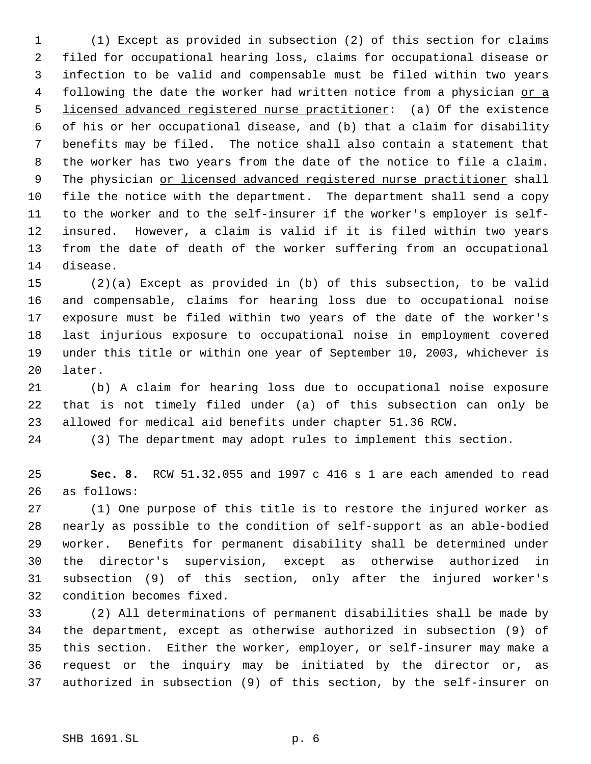(1) Except as provided in subsection (2) of this section for claims filed for occupational hearing loss, claims for occupational disease or infection to be valid and compensable must be filed within two years 4 following the date the worker had written notice from a physician or a licensed advanced registered nurse practitioner: (a) Of the existence of his or her occupational disease, and (b) that a claim for disability benefits may be filed. The notice shall also contain a statement that the worker has two years from the date of the notice to file a claim. 9 The physician or licensed advanced registered nurse practitioner shall file the notice with the department. The department shall send a copy to the worker and to the self-insurer if the worker's employer is self- insured. However, a claim is valid if it is filed within two years from the date of death of the worker suffering from an occupational disease.

 (2)(a) Except as provided in (b) of this subsection, to be valid and compensable, claims for hearing loss due to occupational noise exposure must be filed within two years of the date of the worker's last injurious exposure to occupational noise in employment covered under this title or within one year of September 10, 2003, whichever is later.

 (b) A claim for hearing loss due to occupational noise exposure that is not timely filed under (a) of this subsection can only be allowed for medical aid benefits under chapter 51.36 RCW.

(3) The department may adopt rules to implement this section.

 **Sec. 8.** RCW 51.32.055 and 1997 c 416 s 1 are each amended to read as follows:

 (1) One purpose of this title is to restore the injured worker as nearly as possible to the condition of self-support as an able-bodied worker. Benefits for permanent disability shall be determined under the director's supervision, except as otherwise authorized in subsection (9) of this section, only after the injured worker's condition becomes fixed.

 (2) All determinations of permanent disabilities shall be made by the department, except as otherwise authorized in subsection (9) of this section. Either the worker, employer, or self-insurer may make a request or the inquiry may be initiated by the director or, as authorized in subsection (9) of this section, by the self-insurer on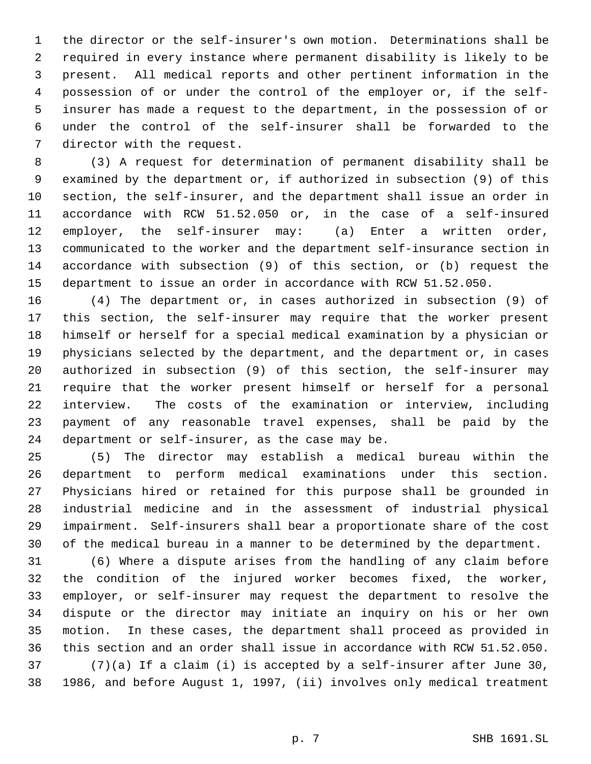the director or the self-insurer's own motion. Determinations shall be required in every instance where permanent disability is likely to be present. All medical reports and other pertinent information in the possession of or under the control of the employer or, if the self- insurer has made a request to the department, in the possession of or under the control of the self-insurer shall be forwarded to the director with the request.

 (3) A request for determination of permanent disability shall be examined by the department or, if authorized in subsection (9) of this section, the self-insurer, and the department shall issue an order in accordance with RCW 51.52.050 or, in the case of a self-insured employer, the self-insurer may: (a) Enter a written order, communicated to the worker and the department self-insurance section in accordance with subsection (9) of this section, or (b) request the department to issue an order in accordance with RCW 51.52.050.

 (4) The department or, in cases authorized in subsection (9) of this section, the self-insurer may require that the worker present himself or herself for a special medical examination by a physician or physicians selected by the department, and the department or, in cases authorized in subsection (9) of this section, the self-insurer may require that the worker present himself or herself for a personal interview. The costs of the examination or interview, including payment of any reasonable travel expenses, shall be paid by the department or self-insurer, as the case may be.

 (5) The director may establish a medical bureau within the department to perform medical examinations under this section. Physicians hired or retained for this purpose shall be grounded in industrial medicine and in the assessment of industrial physical impairment. Self-insurers shall bear a proportionate share of the cost of the medical bureau in a manner to be determined by the department.

 (6) Where a dispute arises from the handling of any claim before the condition of the injured worker becomes fixed, the worker, employer, or self-insurer may request the department to resolve the dispute or the director may initiate an inquiry on his or her own motion. In these cases, the department shall proceed as provided in this section and an order shall issue in accordance with RCW 51.52.050. (7)(a) If a claim (i) is accepted by a self-insurer after June 30, 1986, and before August 1, 1997, (ii) involves only medical treatment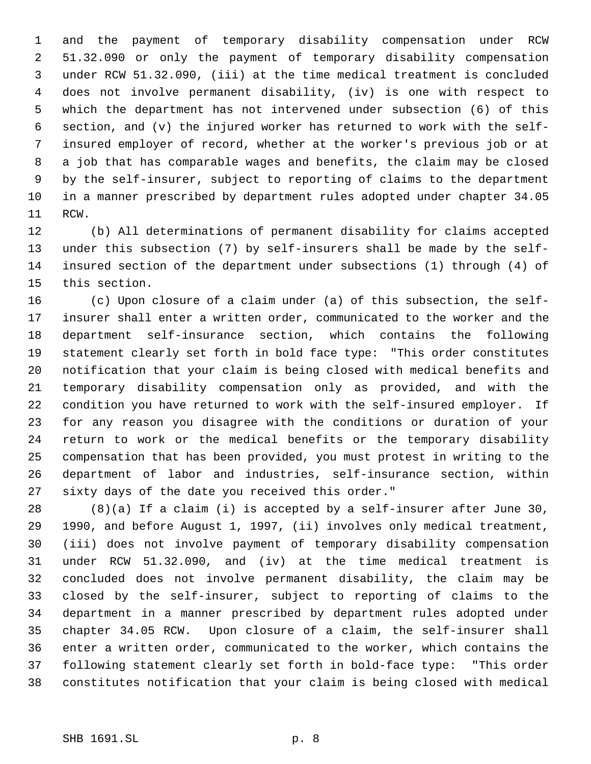and the payment of temporary disability compensation under RCW 51.32.090 or only the payment of temporary disability compensation under RCW 51.32.090, (iii) at the time medical treatment is concluded does not involve permanent disability, (iv) is one with respect to which the department has not intervened under subsection (6) of this section, and (v) the injured worker has returned to work with the self- insured employer of record, whether at the worker's previous job or at a job that has comparable wages and benefits, the claim may be closed by the self-insurer, subject to reporting of claims to the department in a manner prescribed by department rules adopted under chapter 34.05 RCW.

 (b) All determinations of permanent disability for claims accepted under this subsection (7) by self-insurers shall be made by the self- insured section of the department under subsections (1) through (4) of this section.

 (c) Upon closure of a claim under (a) of this subsection, the self- insurer shall enter a written order, communicated to the worker and the department self-insurance section, which contains the following statement clearly set forth in bold face type: "This order constitutes notification that your claim is being closed with medical benefits and temporary disability compensation only as provided, and with the condition you have returned to work with the self-insured employer. If for any reason you disagree with the conditions or duration of your return to work or the medical benefits or the temporary disability compensation that has been provided, you must protest in writing to the department of labor and industries, self-insurance section, within sixty days of the date you received this order."

 (8)(a) If a claim (i) is accepted by a self-insurer after June 30, 1990, and before August 1, 1997, (ii) involves only medical treatment, (iii) does not involve payment of temporary disability compensation under RCW 51.32.090, and (iv) at the time medical treatment is concluded does not involve permanent disability, the claim may be closed by the self-insurer, subject to reporting of claims to the department in a manner prescribed by department rules adopted under chapter 34.05 RCW. Upon closure of a claim, the self-insurer shall enter a written order, communicated to the worker, which contains the following statement clearly set forth in bold-face type: "This order constitutes notification that your claim is being closed with medical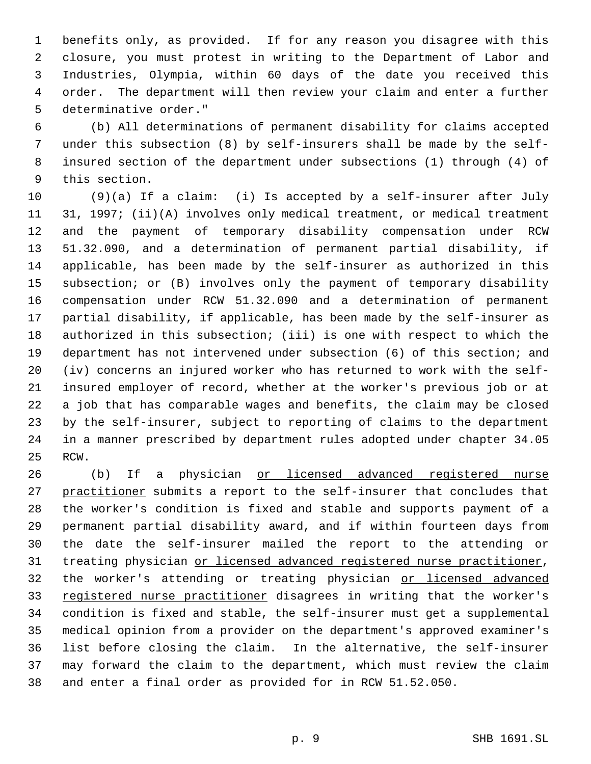benefits only, as provided. If for any reason you disagree with this closure, you must protest in writing to the Department of Labor and Industries, Olympia, within 60 days of the date you received this order. The department will then review your claim and enter a further determinative order."

 (b) All determinations of permanent disability for claims accepted under this subsection (8) by self-insurers shall be made by the self- insured section of the department under subsections (1) through (4) of this section.

 (9)(a) If a claim: (i) Is accepted by a self-insurer after July 31, 1997; (ii)(A) involves only medical treatment, or medical treatment and the payment of temporary disability compensation under RCW 51.32.090, and a determination of permanent partial disability, if applicable, has been made by the self-insurer as authorized in this subsection; or (B) involves only the payment of temporary disability compensation under RCW 51.32.090 and a determination of permanent partial disability, if applicable, has been made by the self-insurer as authorized in this subsection; (iii) is one with respect to which the department has not intervened under subsection (6) of this section; and (iv) concerns an injured worker who has returned to work with the self- insured employer of record, whether at the worker's previous job or at a job that has comparable wages and benefits, the claim may be closed by the self-insurer, subject to reporting of claims to the department in a manner prescribed by department rules adopted under chapter 34.05 RCW.

26 (b) If a physician or licensed advanced registered nurse 27 practitioner submits a report to the self-insurer that concludes that the worker's condition is fixed and stable and supports payment of a permanent partial disability award, and if within fourteen days from the date the self-insurer mailed the report to the attending or 31 treating physician or licensed advanced registered nurse practitioner, 32 the worker's attending or treating physician or licensed advanced 33 registered nurse practitioner disagrees in writing that the worker's condition is fixed and stable, the self-insurer must get a supplemental medical opinion from a provider on the department's approved examiner's list before closing the claim. In the alternative, the self-insurer may forward the claim to the department, which must review the claim and enter a final order as provided for in RCW 51.52.050.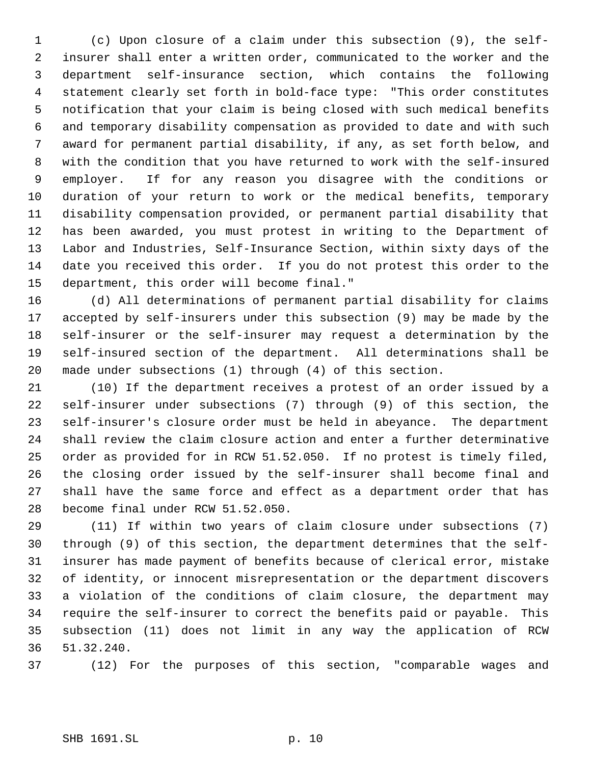(c) Upon closure of a claim under this subsection (9), the self- insurer shall enter a written order, communicated to the worker and the department self-insurance section, which contains the following statement clearly set forth in bold-face type: "This order constitutes notification that your claim is being closed with such medical benefits and temporary disability compensation as provided to date and with such award for permanent partial disability, if any, as set forth below, and with the condition that you have returned to work with the self-insured employer. If for any reason you disagree with the conditions or duration of your return to work or the medical benefits, temporary disability compensation provided, or permanent partial disability that has been awarded, you must protest in writing to the Department of Labor and Industries, Self-Insurance Section, within sixty days of the date you received this order. If you do not protest this order to the department, this order will become final."

 (d) All determinations of permanent partial disability for claims accepted by self-insurers under this subsection (9) may be made by the self-insurer or the self-insurer may request a determination by the self-insured section of the department. All determinations shall be made under subsections (1) through (4) of this section.

 (10) If the department receives a protest of an order issued by a self-insurer under subsections (7) through (9) of this section, the self-insurer's closure order must be held in abeyance. The department shall review the claim closure action and enter a further determinative order as provided for in RCW 51.52.050. If no protest is timely filed, the closing order issued by the self-insurer shall become final and shall have the same force and effect as a department order that has become final under RCW 51.52.050.

 (11) If within two years of claim closure under subsections (7) through (9) of this section, the department determines that the self- insurer has made payment of benefits because of clerical error, mistake of identity, or innocent misrepresentation or the department discovers a violation of the conditions of claim closure, the department may require the self-insurer to correct the benefits paid or payable. This subsection (11) does not limit in any way the application of RCW 51.32.240.

(12) For the purposes of this section, "comparable wages and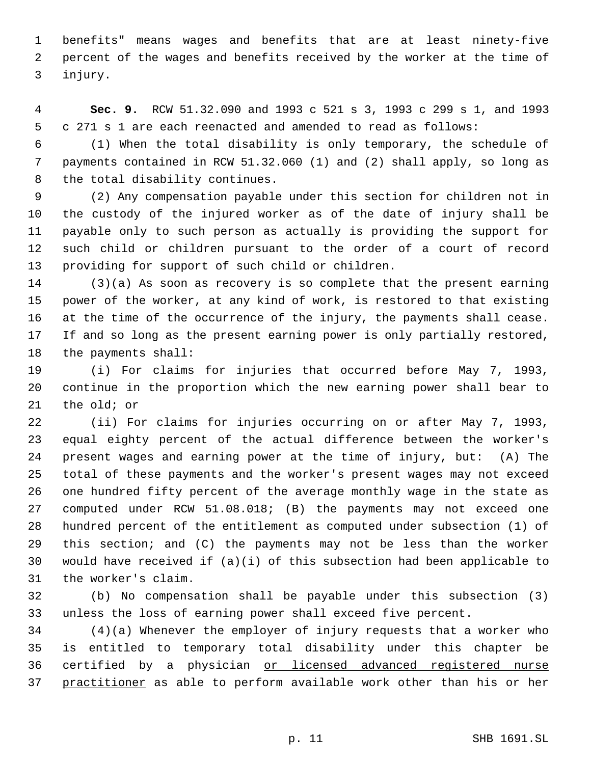benefits" means wages and benefits that are at least ninety-five percent of the wages and benefits received by the worker at the time of injury.

 **Sec. 9.** RCW 51.32.090 and 1993 c 521 s 3, 1993 c 299 s 1, and 1993 c 271 s 1 are each reenacted and amended to read as follows:

 (1) When the total disability is only temporary, the schedule of payments contained in RCW 51.32.060 (1) and (2) shall apply, so long as the total disability continues.

 (2) Any compensation payable under this section for children not in the custody of the injured worker as of the date of injury shall be payable only to such person as actually is providing the support for such child or children pursuant to the order of a court of record providing for support of such child or children.

 (3)(a) As soon as recovery is so complete that the present earning power of the worker, at any kind of work, is restored to that existing at the time of the occurrence of the injury, the payments shall cease. If and so long as the present earning power is only partially restored, the payments shall:

 (i) For claims for injuries that occurred before May 7, 1993, continue in the proportion which the new earning power shall bear to the old; or

 (ii) For claims for injuries occurring on or after May 7, 1993, equal eighty percent of the actual difference between the worker's present wages and earning power at the time of injury, but: (A) The total of these payments and the worker's present wages may not exceed one hundred fifty percent of the average monthly wage in the state as computed under RCW 51.08.018; (B) the payments may not exceed one hundred percent of the entitlement as computed under subsection (1) of this section; and (C) the payments may not be less than the worker would have received if (a)(i) of this subsection had been applicable to the worker's claim.

 (b) No compensation shall be payable under this subsection (3) unless the loss of earning power shall exceed five percent.

 (4)(a) Whenever the employer of injury requests that a worker who is entitled to temporary total disability under this chapter be 36 certified by a physician or licensed advanced registered nurse practitioner as able to perform available work other than his or her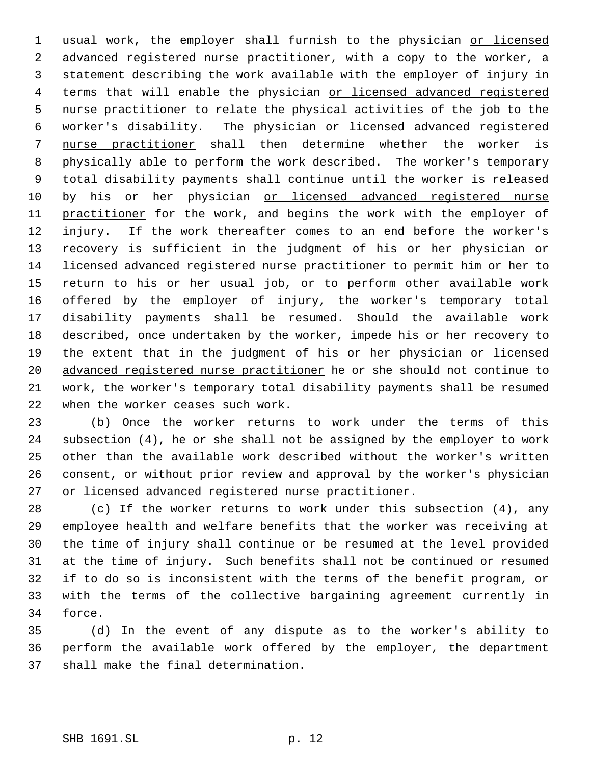1 usual work, the employer shall furnish to the physician or licensed 2 advanced registered nurse practitioner, with a copy to the worker, a statement describing the work available with the employer of injury in 4 terms that will enable the physician or licensed advanced registered nurse practitioner to relate the physical activities of the job to the worker's disability. The physician or licensed advanced registered nurse practitioner shall then determine whether the worker is physically able to perform the work described. The worker's temporary total disability payments shall continue until the worker is released by his or her physician or licensed advanced registered nurse 11 practitioner for the work, and begins the work with the employer of injury. If the work thereafter comes to an end before the worker's 13 recovery is sufficient in the judgment of his or her physician or licensed advanced registered nurse practitioner to permit him or her to return to his or her usual job, or to perform other available work offered by the employer of injury, the worker's temporary total disability payments shall be resumed. Should the available work described, once undertaken by the worker, impede his or her recovery to 19 the extent that in the judgment of his or her physician or licensed 20 advanced registered nurse practitioner he or she should not continue to work, the worker's temporary total disability payments shall be resumed when the worker ceases such work.

 (b) Once the worker returns to work under the terms of this subsection (4), he or she shall not be assigned by the employer to work other than the available work described without the worker's written consent, or without prior review and approval by the worker's physician or licensed advanced registered nurse practitioner.

 (c) If the worker returns to work under this subsection (4), any employee health and welfare benefits that the worker was receiving at the time of injury shall continue or be resumed at the level provided at the time of injury. Such benefits shall not be continued or resumed if to do so is inconsistent with the terms of the benefit program, or with the terms of the collective bargaining agreement currently in force.

 (d) In the event of any dispute as to the worker's ability to perform the available work offered by the employer, the department shall make the final determination.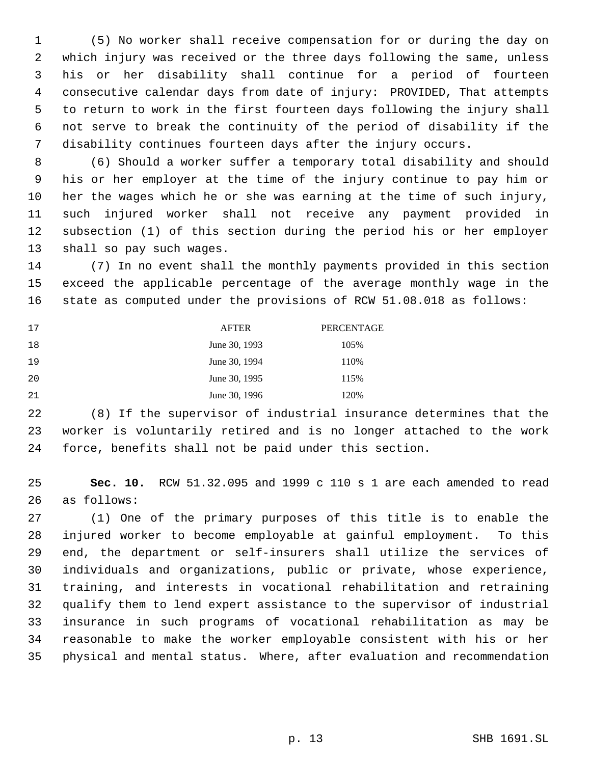(5) No worker shall receive compensation for or during the day on which injury was received or the three days following the same, unless his or her disability shall continue for a period of fourteen consecutive calendar days from date of injury: PROVIDED, That attempts to return to work in the first fourteen days following the injury shall not serve to break the continuity of the period of disability if the disability continues fourteen days after the injury occurs.

 (6) Should a worker suffer a temporary total disability and should his or her employer at the time of the injury continue to pay him or her the wages which he or she was earning at the time of such injury, such injured worker shall not receive any payment provided in subsection (1) of this section during the period his or her employer shall so pay such wages.

 (7) In no event shall the monthly payments provided in this section exceed the applicable percentage of the average monthly wage in the state as computed under the provisions of RCW 51.08.018 as follows:

| 17 | <b>AFTER</b>  | PERCENTAGE |
|----|---------------|------------|
| 18 | June 30, 1993 | 105%       |
| 19 | June 30, 1994 | 110%       |
| 20 | June 30, 1995 | 115%       |
| 21 | June 30, 1996 | 120%       |

 (8) If the supervisor of industrial insurance determines that the worker is voluntarily retired and is no longer attached to the work force, benefits shall not be paid under this section.

 **Sec. 10.** RCW 51.32.095 and 1999 c 110 s 1 are each amended to read as follows:

 (1) One of the primary purposes of this title is to enable the injured worker to become employable at gainful employment. To this end, the department or self-insurers shall utilize the services of individuals and organizations, public or private, whose experience, training, and interests in vocational rehabilitation and retraining qualify them to lend expert assistance to the supervisor of industrial insurance in such programs of vocational rehabilitation as may be reasonable to make the worker employable consistent with his or her physical and mental status. Where, after evaluation and recommendation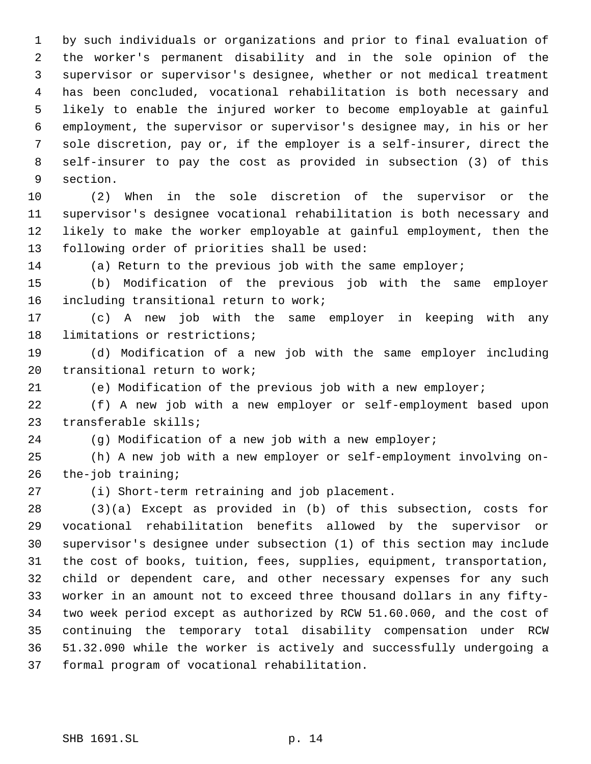by such individuals or organizations and prior to final evaluation of the worker's permanent disability and in the sole opinion of the supervisor or supervisor's designee, whether or not medical treatment has been concluded, vocational rehabilitation is both necessary and likely to enable the injured worker to become employable at gainful employment, the supervisor or supervisor's designee may, in his or her sole discretion, pay or, if the employer is a self-insurer, direct the self-insurer to pay the cost as provided in subsection (3) of this section.

 (2) When in the sole discretion of the supervisor or the supervisor's designee vocational rehabilitation is both necessary and likely to make the worker employable at gainful employment, then the following order of priorities shall be used:

(a) Return to the previous job with the same employer;

 (b) Modification of the previous job with the same employer including transitional return to work;

 (c) A new job with the same employer in keeping with any limitations or restrictions;

 (d) Modification of a new job with the same employer including transitional return to work;

(e) Modification of the previous job with a new employer;

 (f) A new job with a new employer or self-employment based upon transferable skills;

(g) Modification of a new job with a new employer;

 (h) A new job with a new employer or self-employment involving on-the-job training;

(i) Short-term retraining and job placement.

 (3)(a) Except as provided in (b) of this subsection, costs for vocational rehabilitation benefits allowed by the supervisor or supervisor's designee under subsection (1) of this section may include the cost of books, tuition, fees, supplies, equipment, transportation, child or dependent care, and other necessary expenses for any such worker in an amount not to exceed three thousand dollars in any fifty- two week period except as authorized by RCW 51.60.060, and the cost of continuing the temporary total disability compensation under RCW 51.32.090 while the worker is actively and successfully undergoing a formal program of vocational rehabilitation.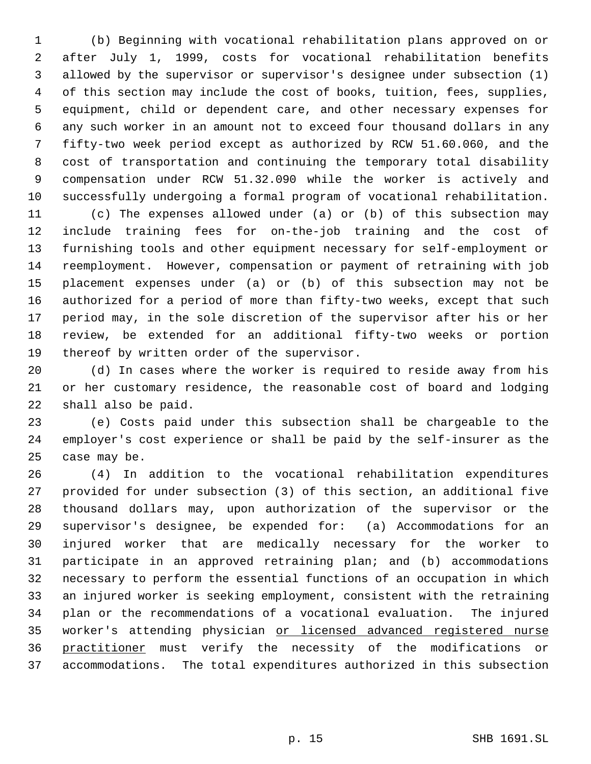(b) Beginning with vocational rehabilitation plans approved on or after July 1, 1999, costs for vocational rehabilitation benefits allowed by the supervisor or supervisor's designee under subsection (1) of this section may include the cost of books, tuition, fees, supplies, equipment, child or dependent care, and other necessary expenses for any such worker in an amount not to exceed four thousand dollars in any fifty-two week period except as authorized by RCW 51.60.060, and the cost of transportation and continuing the temporary total disability compensation under RCW 51.32.090 while the worker is actively and successfully undergoing a formal program of vocational rehabilitation.

 (c) The expenses allowed under (a) or (b) of this subsection may include training fees for on-the-job training and the cost of furnishing tools and other equipment necessary for self-employment or reemployment. However, compensation or payment of retraining with job placement expenses under (a) or (b) of this subsection may not be authorized for a period of more than fifty-two weeks, except that such period may, in the sole discretion of the supervisor after his or her review, be extended for an additional fifty-two weeks or portion thereof by written order of the supervisor.

 (d) In cases where the worker is required to reside away from his or her customary residence, the reasonable cost of board and lodging shall also be paid.

 (e) Costs paid under this subsection shall be chargeable to the employer's cost experience or shall be paid by the self-insurer as the case may be.

 (4) In addition to the vocational rehabilitation expenditures provided for under subsection (3) of this section, an additional five thousand dollars may, upon authorization of the supervisor or the supervisor's designee, be expended for: (a) Accommodations for an injured worker that are medically necessary for the worker to participate in an approved retraining plan; and (b) accommodations necessary to perform the essential functions of an occupation in which an injured worker is seeking employment, consistent with the retraining plan or the recommendations of a vocational evaluation. The injured 35 worker's attending physician or licensed advanced registered nurse practitioner must verify the necessity of the modifications or accommodations. The total expenditures authorized in this subsection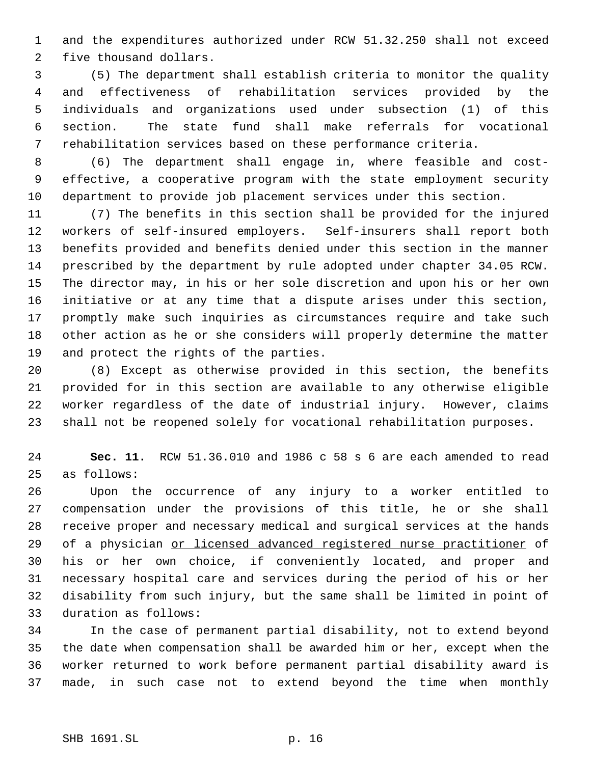and the expenditures authorized under RCW 51.32.250 shall not exceed five thousand dollars.

 (5) The department shall establish criteria to monitor the quality and effectiveness of rehabilitation services provided by the individuals and organizations used under subsection (1) of this section. The state fund shall make referrals for vocational rehabilitation services based on these performance criteria.

 (6) The department shall engage in, where feasible and cost- effective, a cooperative program with the state employment security department to provide job placement services under this section.

 (7) The benefits in this section shall be provided for the injured workers of self-insured employers. Self-insurers shall report both benefits provided and benefits denied under this section in the manner prescribed by the department by rule adopted under chapter 34.05 RCW. The director may, in his or her sole discretion and upon his or her own initiative or at any time that a dispute arises under this section, promptly make such inquiries as circumstances require and take such other action as he or she considers will properly determine the matter and protect the rights of the parties.

 (8) Except as otherwise provided in this section, the benefits provided for in this section are available to any otherwise eligible worker regardless of the date of industrial injury. However, claims shall not be reopened solely for vocational rehabilitation purposes.

 **Sec. 11.** RCW 51.36.010 and 1986 c 58 s 6 are each amended to read as follows:

 Upon the occurrence of any injury to a worker entitled to compensation under the provisions of this title, he or she shall receive proper and necessary medical and surgical services at the hands 29 of a physician or licensed advanced registered nurse practitioner of his or her own choice, if conveniently located, and proper and necessary hospital care and services during the period of his or her disability from such injury, but the same shall be limited in point of duration as follows:

 In the case of permanent partial disability, not to extend beyond the date when compensation shall be awarded him or her, except when the worker returned to work before permanent partial disability award is made, in such case not to extend beyond the time when monthly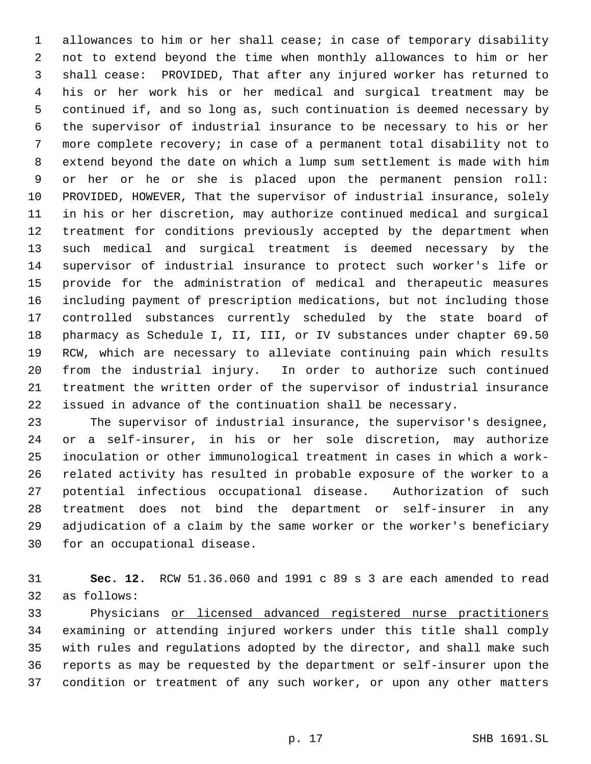allowances to him or her shall cease; in case of temporary disability not to extend beyond the time when monthly allowances to him or her shall cease: PROVIDED, That after any injured worker has returned to his or her work his or her medical and surgical treatment may be continued if, and so long as, such continuation is deemed necessary by the supervisor of industrial insurance to be necessary to his or her more complete recovery; in case of a permanent total disability not to extend beyond the date on which a lump sum settlement is made with him or her or he or she is placed upon the permanent pension roll: PROVIDED, HOWEVER, That the supervisor of industrial insurance, solely in his or her discretion, may authorize continued medical and surgical treatment for conditions previously accepted by the department when such medical and surgical treatment is deemed necessary by the supervisor of industrial insurance to protect such worker's life or provide for the administration of medical and therapeutic measures including payment of prescription medications, but not including those controlled substances currently scheduled by the state board of pharmacy as Schedule I, II, III, or IV substances under chapter 69.50 RCW, which are necessary to alleviate continuing pain which results from the industrial injury. In order to authorize such continued treatment the written order of the supervisor of industrial insurance issued in advance of the continuation shall be necessary.

 The supervisor of industrial insurance, the supervisor's designee, or a self-insurer, in his or her sole discretion, may authorize inoculation or other immunological treatment in cases in which a work- related activity has resulted in probable exposure of the worker to a potential infectious occupational disease. Authorization of such treatment does not bind the department or self-insurer in any adjudication of a claim by the same worker or the worker's beneficiary for an occupational disease.

 **Sec. 12.** RCW 51.36.060 and 1991 c 89 s 3 are each amended to read as follows:

 Physicians or licensed advanced registered nurse practitioners examining or attending injured workers under this title shall comply with rules and regulations adopted by the director, and shall make such reports as may be requested by the department or self-insurer upon the condition or treatment of any such worker, or upon any other matters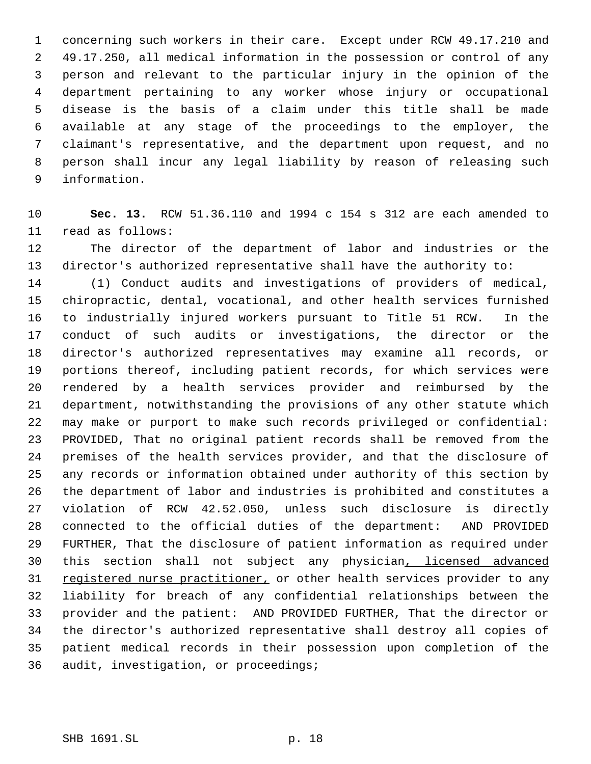concerning such workers in their care. Except under RCW 49.17.210 and 49.17.250, all medical information in the possession or control of any person and relevant to the particular injury in the opinion of the department pertaining to any worker whose injury or occupational disease is the basis of a claim under this title shall be made available at any stage of the proceedings to the employer, the claimant's representative, and the department upon request, and no person shall incur any legal liability by reason of releasing such information.

 **Sec. 13.** RCW 51.36.110 and 1994 c 154 s 312 are each amended to read as follows:

 The director of the department of labor and industries or the director's authorized representative shall have the authority to:

 (1) Conduct audits and investigations of providers of medical, chiropractic, dental, vocational, and other health services furnished to industrially injured workers pursuant to Title 51 RCW. In the conduct of such audits or investigations, the director or the director's authorized representatives may examine all records, or portions thereof, including patient records, for which services were rendered by a health services provider and reimbursed by the department, notwithstanding the provisions of any other statute which may make or purport to make such records privileged or confidential: PROVIDED, That no original patient records shall be removed from the premises of the health services provider, and that the disclosure of any records or information obtained under authority of this section by the department of labor and industries is prohibited and constitutes a violation of RCW 42.52.050, unless such disclosure is directly connected to the official duties of the department: AND PROVIDED FURTHER, That the disclosure of patient information as required under this section shall not subject any physician, licensed advanced 31 registered nurse practitioner, or other health services provider to any liability for breach of any confidential relationships between the provider and the patient: AND PROVIDED FURTHER, That the director or the director's authorized representative shall destroy all copies of patient medical records in their possession upon completion of the audit, investigation, or proceedings;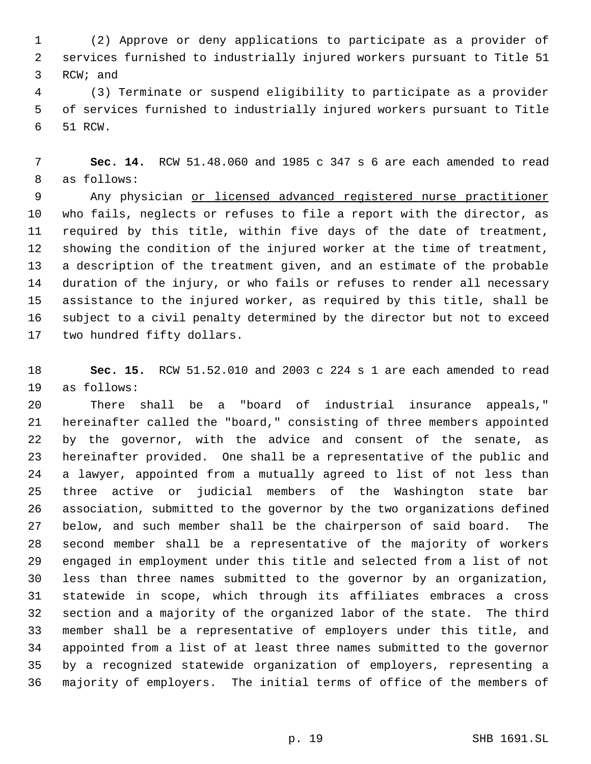(2) Approve or deny applications to participate as a provider of services furnished to industrially injured workers pursuant to Title 51 RCW; and

 (3) Terminate or suspend eligibility to participate as a provider of services furnished to industrially injured workers pursuant to Title 51 RCW.

 **Sec. 14.** RCW 51.48.060 and 1985 c 347 s 6 are each amended to read as follows:

 Any physician or licensed advanced registered nurse practitioner who fails, neglects or refuses to file a report with the director, as required by this title, within five days of the date of treatment, showing the condition of the injured worker at the time of treatment, a description of the treatment given, and an estimate of the probable duration of the injury, or who fails or refuses to render all necessary assistance to the injured worker, as required by this title, shall be subject to a civil penalty determined by the director but not to exceed two hundred fifty dollars.

 **Sec. 15.** RCW 51.52.010 and 2003 c 224 s 1 are each amended to read as follows:

 There shall be a "board of industrial insurance appeals," hereinafter called the "board," consisting of three members appointed by the governor, with the advice and consent of the senate, as hereinafter provided. One shall be a representative of the public and a lawyer, appointed from a mutually agreed to list of not less than three active or judicial members of the Washington state bar association, submitted to the governor by the two organizations defined below, and such member shall be the chairperson of said board. The second member shall be a representative of the majority of workers engaged in employment under this title and selected from a list of not less than three names submitted to the governor by an organization, statewide in scope, which through its affiliates embraces a cross section and a majority of the organized labor of the state. The third member shall be a representative of employers under this title, and appointed from a list of at least three names submitted to the governor by a recognized statewide organization of employers, representing a majority of employers. The initial terms of office of the members of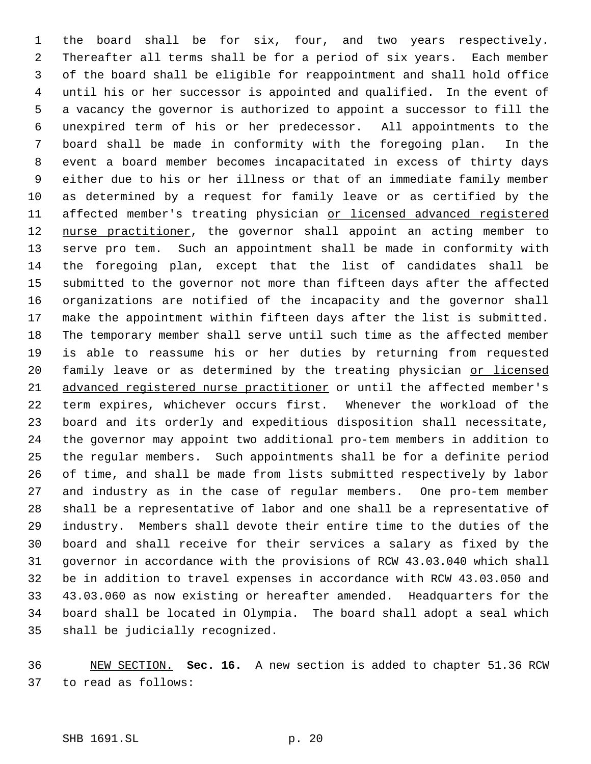the board shall be for six, four, and two years respectively. Thereafter all terms shall be for a period of six years. Each member of the board shall be eligible for reappointment and shall hold office until his or her successor is appointed and qualified. In the event of a vacancy the governor is authorized to appoint a successor to fill the unexpired term of his or her predecessor. All appointments to the board shall be made in conformity with the foregoing plan. In the event a board member becomes incapacitated in excess of thirty days either due to his or her illness or that of an immediate family member as determined by a request for family leave or as certified by the 11 affected member's treating physician or licensed advanced registered 12 nurse practitioner, the governor shall appoint an acting member to serve pro tem. Such an appointment shall be made in conformity with the foregoing plan, except that the list of candidates shall be submitted to the governor not more than fifteen days after the affected organizations are notified of the incapacity and the governor shall make the appointment within fifteen days after the list is submitted. The temporary member shall serve until such time as the affected member is able to reassume his or her duties by returning from requested 20 family leave or as determined by the treating physician or licensed advanced registered nurse practitioner or until the affected member's term expires, whichever occurs first. Whenever the workload of the board and its orderly and expeditious disposition shall necessitate, the governor may appoint two additional pro-tem members in addition to the regular members. Such appointments shall be for a definite period of time, and shall be made from lists submitted respectively by labor and industry as in the case of regular members. One pro-tem member shall be a representative of labor and one shall be a representative of industry. Members shall devote their entire time to the duties of the board and shall receive for their services a salary as fixed by the governor in accordance with the provisions of RCW 43.03.040 which shall be in addition to travel expenses in accordance with RCW 43.03.050 and 43.03.060 as now existing or hereafter amended. Headquarters for the board shall be located in Olympia. The board shall adopt a seal which shall be judicially recognized.

 NEW SECTION. **Sec. 16.** A new section is added to chapter 51.36 RCW to read as follows: